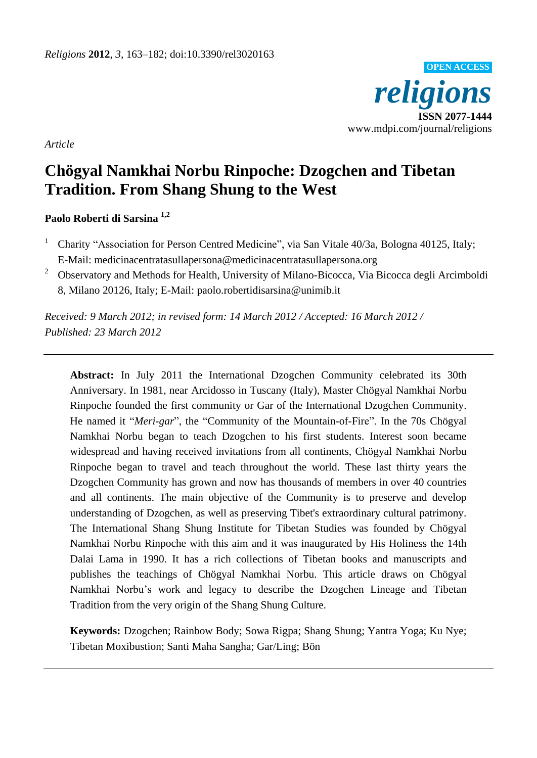

*Article*

# **Chögyal Namkhai Norbu Rinpoche: Dzogchen and Tibetan Tradition. From Shang Shung to the West**

### **Paolo Roberti di Sarsina 1,2**

- <sup>1</sup> Charity "Association for Person Centred Medicine", via San Vitale 40/3a, Bologna 40125, Italy; E-Mail: medicinacentratasullapersona@medicinacentratasullapersona.org
- <sup>2</sup> Observatory and Methods for Health, University of Milano-Bicocca, Via Bicocca degli Arcimboldi 8, Milano 20126, Italy; E-Mail: paolo.robertidisarsina@unimib.it

*Received: 9 March 2012; in revised form: 14 March 2012 / Accepted: 16 March 2012 / Published: 23 March 2012*

**Abstract:** In July 2011 the International Dzogchen Community celebrated its 30th Anniversary. In 1981, near Arcidosso in Tuscany (Italy), Master Chögyal Namkhai Norbu Rinpoche founded the first community or Gar of the International Dzogchen Community. He named it "*Meri-gar*", the "Community of the Mountain-of-Fire". In the 70s Chögyal Namkhai Norbu began to teach Dzogchen to his first students. Interest soon became widespread and having received invitations from all continents, Chögyal Namkhai Norbu Rinpoche began to travel and teach throughout the world. These last thirty years the Dzogchen Community has grown and now has thousands of members in over 40 countries and all continents. The main objective of the Community is to preserve and develop understanding of Dzogchen, as well as preserving Tibet's extraordinary cultural patrimony. The International Shang Shung Institute for Tibetan Studies was founded by Chögyal Namkhai Norbu Rinpoche with this aim and it was inaugurated by His Holiness the 14th Dalai Lama in 1990. It has a rich collections of Tibetan books and manuscripts and publishes the teachings of Chögyal Namkhai Norbu. This article draws on Chögyal Namkhai Norbu"s work and legacy to describe the Dzogchen Lineage and Tibetan Tradition from the very origin of the Shang Shung Culture.

**Keywords:** Dzogchen; Rainbow Body; Sowa Rigpa; Shang Shung; Yantra Yoga; Ku Nye; Tibetan Moxibustion; Santi Maha Sangha; Gar/Ling; Bön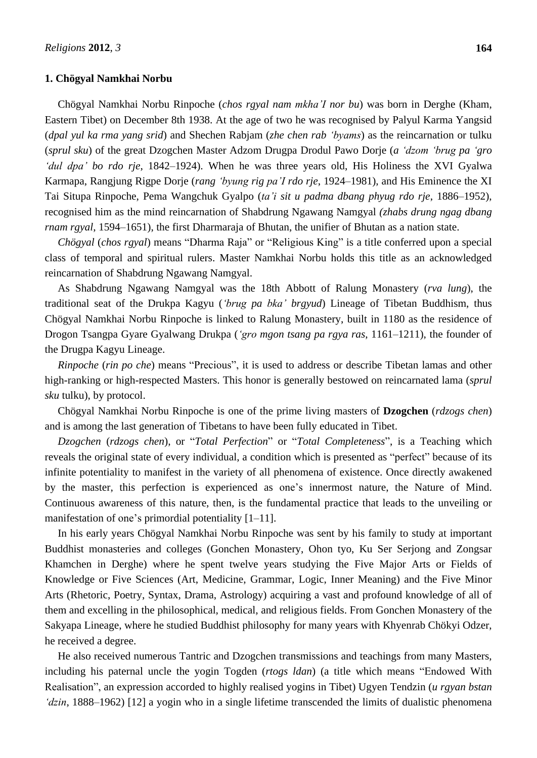### **1. Chögyal Namkhai Norbu**

Chögyal Namkhai Norbu Rinpoche (*chos rgyal nam mkha'I nor bu*) was born in Derghe (Kham, Eastern Tibet) on December 8th 1938. At the age of two he was recognised by Palyul Karma Yangsid (*dpal yul ka rma yang srid*) and Shechen Rabjam (*zhe chen rab 'byams*) as the reincarnation or tulku (*sprul sku*) of the great Dzogchen Master Adzom Drugpa Drodul Pawo Dorje (*a 'dzom 'brug pa 'gro 'dul dpa' bo rdo rje*, 1842–1924). When he was three years old, His Holiness the XVI Gyalwa Karmapa, Rangjung Rigpe Dorje (*rang 'byung rig pa'I rdo rje*, 1924–1981), and His Eminence the XI Tai Situpa Rinpoche, Pema Wangchuk Gyalpo (*ta'i sit u padma dbang phyug rdo rje*, 1886–1952), recognised him as the mind reincarnation of Shabdrung Ngawang Namgyal *(zhabs drung ngag dbang rnam rgyal*, 1594–1651), the first Dharmaraja of Bhutan, the unifier of Bhutan as a nation state.

*Chögyal* (*chos rgyal*) means "Dharma Raja" or "Religious King" is a title conferred upon a special class of temporal and spiritual rulers. Master Namkhai Norbu holds this title as an acknowledged reincarnation of Shabdrung Ngawang Namgyal.

As Shabdrung Ngawang Namgyal was the 18th Abbott of Ralung Monastery (*rva lung*), the traditional seat of the Drukpa Kagyu (*'brug pa bka' brgyud*) Lineage of Tibetan Buddhism, thus Chögyal Namkhai Norbu Rinpoche is linked to Ralung Monastery, built in 1180 as the residence of Drogon Tsangpa Gyare Gyalwang Drukpa (*'gro mgon tsang pa rgya ras*, 1161–1211), the founder of the Drugpa Kagyu Lineage.

*Rinpoche* (*rin po che*) means "Precious", it is used to address or describe Tibetan lamas and other high-ranking or high-respected Masters. This honor is generally bestowed on reincarnated lama (*sprul sku* tulku), by protocol.

Chögyal Namkhai Norbu Rinpoche is one of the prime living masters of **Dzogchen** (*rdzogs chen*) and is among the last generation of Tibetans to have been fully educated in Tibet.

*Dzogchen* (*rdzogs chen*), or "*Total Perfection*" or "*Total Completeness*", is a Teaching which reveals the original state of every individual, a condition which is presented as "perfect" because of its infinite potentiality to manifest in the variety of all phenomena of existence. Once directly awakened by the master, this perfection is experienced as one"s innermost nature, the Nature of Mind. Continuous awareness of this nature, then, is the fundamental practice that leads to the unveiling or manifestation of one's primordial potentiality  $[1-11]$ .

In his early years Chögyal Namkhai Norbu Rinpoche was sent by his family to study at important Buddhist monasteries and colleges (Gonchen Monastery, Ohon tyo, Ku Ser Serjong and Zongsar Khamchen in Derghe) where he spent twelve years studying the Five Major Arts or Fields of Knowledge or Five Sciences (Art, Medicine, Grammar, Logic, Inner Meaning) and the Five Minor Arts (Rhetoric, Poetry, Syntax, Drama, Astrology) acquiring a vast and profound knowledge of all of them and excelling in the philosophical, medical, and religious fields. From Gonchen Monastery of the Sakyapa Lineage, where he studied Buddhist philosophy for many years with Khyenrab Chökyi Odzer, he received a degree.

He also received numerous Tantric and Dzogchen transmissions and teachings from many Masters, including his paternal uncle the yogin Togden (*rtogs ldan*) (a title which means "Endowed With Realisation", an expression accorded to highly realised yogins in Tibet) Ugyen Tendzin (*u rgyan bstan 'dzin*, 1888–1962) [12] a yogin who in a single lifetime transcended the limits of dualistic phenomena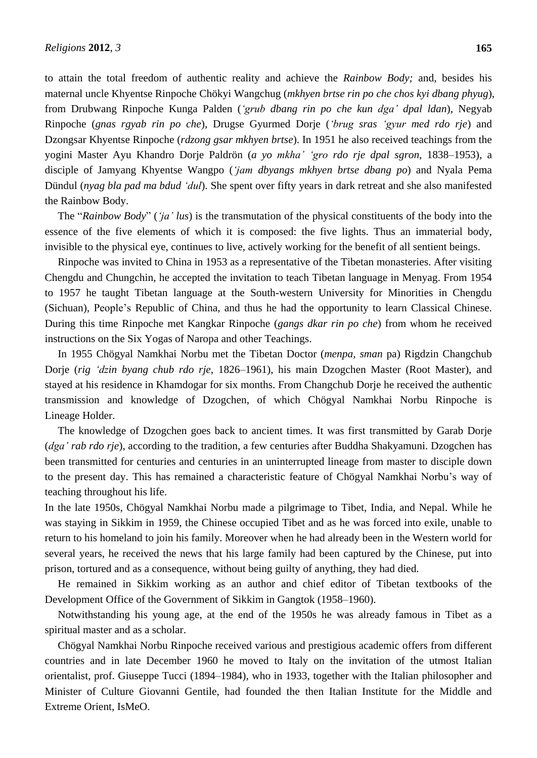to attain the total freedom of authentic reality and achieve the *Rainbow Body;* and, besides his maternal uncle Khyentse Rinpoche Chökyi Wangchug (*mkhyen brtse rin po che chos kyi dbang phyug*), from Drubwang Rinpoche Kunga Palden (*'grub dbang rin po che kun dga' dpal ldan*), Negyab Rinpoche (*gnas rgyab rin po che*), Drugse Gyurmed Dorje (*'brug sras 'gyur med rdo rje*) and Dzongsar Khyentse Rinpoche (*rdzong gsar mkhyen brtse*). In 1951 he also received teachings from the yogini Master Ayu Khandro Dorje Paldrön (*a yo mkha' 'gro rdo rje dpal sgron*, 1838–1953), a disciple of Jamyang Khyentse Wangpo (*'jam dbyangs mkhyen brtse dbang po*) and Nyala Pema Dündul (*nyag bla pad ma bdud 'dul*). She spent over fifty years in dark retreat and she also manifested the Rainbow Body.

The "*Rainbow Body*" (*'ja' lus*) is the transmutation of the physical constituents of the body into the essence of the five elements of which it is composed: the five lights. Thus an immaterial body, invisible to the physical eye, continues to live, actively working for the benefit of all sentient beings.

Rinpoche was invited to China in 1953 as a representative of the Tibetan monasteries. After visiting Chengdu and Chungchin, he accepted the invitation to teach Tibetan language in Menyag. From 1954 to 1957 he taught Tibetan language at the South-western University for Minorities in Chengdu (Sichuan), People"s Republic of China, and thus he had the opportunity to learn Classical Chinese. During this time Rinpoche met Kangkar Rinpoche (*gangs dkar rin po che*) from whom he received instructions on the Six Yogas of Naropa and other Teachings.

In 1955 Chögyal Namkhai Norbu met the Tibetan Doctor (*menpa, sman* pa) Rigdzin Changchub Dorje (*rig 'dzin byang chub rdo rje*, 1826–1961), his main Dzogchen Master (Root Master), and stayed at his residence in Khamdogar for six months. From Changchub Dorje he received the authentic transmission and knowledge of Dzogchen, of which Chögyal Namkhai Norbu Rinpoche is Lineage Holder.

The knowledge of Dzogchen goes back to ancient times. It was first transmitted by Garab Dorje (*dga' rab rdo rje*), according to the tradition, a few centuries after Buddha Shakyamuni. Dzogchen has been transmitted for centuries and centuries in an uninterrupted lineage from master to disciple down to the present day. This has remained a characteristic feature of Chögyal Namkhai Norbu"s way of teaching throughout his life.

In the late 1950s, Chögyal Namkhai Norbu made a pilgrimage to Tibet, India, and Nepal. While he was staying in Sikkim in 1959, the Chinese occupied Tibet and as he was forced into exile, unable to return to his homeland to join his family. Moreover when he had already been in the Western world for several years, he received the news that his large family had been captured by the Chinese, put into prison, tortured and as a consequence, without being guilty of anything, they had died.

He remained in Sikkim working as an author and chief editor of Tibetan textbooks of the Development Office of the Government of Sikkim in Gangtok (1958–1960).

Notwithstanding his young age, at the end of the 1950s he was already famous in Tibet as a spiritual master and as a scholar.

Chögyal Namkhai Norbu Rinpoche received various and prestigious academic offers from different countries and in late December 1960 he moved to Italy on the invitation of the utmost Italian orientalist, prof. Giuseppe Tucci (1894–1984), who in 1933, together with the Italian philosopher and Minister of Culture Giovanni Gentile, had founded the then Italian Institute for the Middle and Extreme Orient, IsMeO.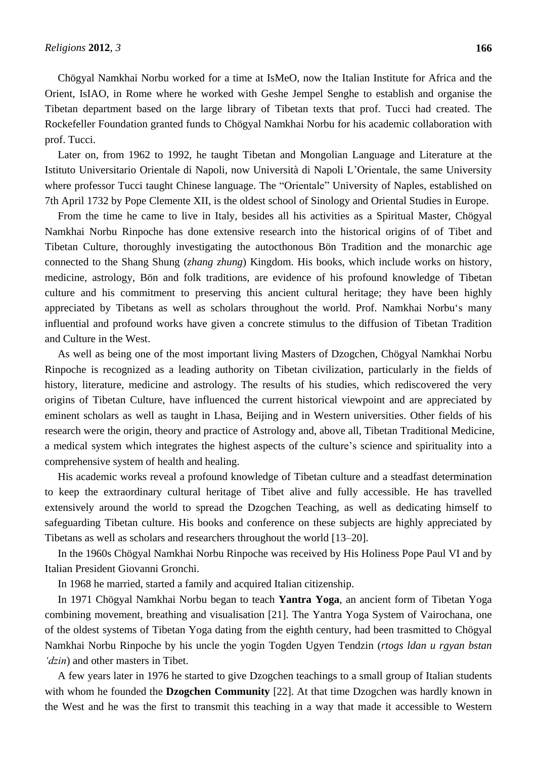Chögyal Namkhai Norbu worked for a time at IsMeO, now the Italian Institute for Africa and the Orient, IsIAO, in Rome where he worked with Geshe Jempel Senghe to establish and organise the Tibetan department based on the large library of Tibetan texts that prof. Tucci had created. The Rockefeller Foundation granted funds to Chögyal Namkhai Norbu for his academic collaboration with prof. Tucci.

Later on, from 1962 to 1992, he taught Tibetan and Mongolian Language and Literature at the Istituto Universitario Orientale di Napoli, now Universitàdi Napoli L"Orientale, the same University where professor Tucci taught Chinese language. The "Orientale" University of Naples, established on 7th April 1732 by Pope Clemente XII, is the oldest school of Sinology and Oriental Studies in Europe.

From the time he came to live in Italy, besides all his activities as a Spiritual Master, Chögyal Namkhai Norbu Rinpoche has done extensive research into the historical origins of of Tibet and Tibetan Culture, thoroughly investigating the autocthonous Bön Tradition and the monarchic age connected to the Shang Shung (*zhang zhung*) Kingdom. His books, which include works on history, medicine, astrology, Bön and folk traditions, are evidence of his profound knowledge of Tibetan culture and his commitment to preserving this ancient cultural heritage; they have been highly appreciated by Tibetans as well as scholars throughout the world. Prof. Namkhai Norbu"s many influential and profound works have given a concrete stimulus to the diffusion of Tibetan Tradition and Culture in the West.

As well as being one of the most important living Masters of Dzogchen, Chögyal Namkhai Norbu Rinpoche is recognized as a leading authority on Tibetan civilization, particularly in the fields of history, literature, medicine and astrology. The results of his studies, which rediscovered the very origins of Tibetan Culture, have influenced the current historical viewpoint and are appreciated by eminent scholars as well as taught in Lhasa, Beijing and in Western universities. Other fields of his research were the origin, theory and practice of Astrology and, above all, Tibetan Traditional Medicine, a medical system which integrates the highest aspects of the culture"s science and spirituality into a comprehensive system of health and healing.

His academic works reveal a profound knowledge of Tibetan culture and a steadfast determination to keep the extraordinary cultural heritage of Tibet alive and fully accessible. He has travelled extensively around the world to spread the Dzogchen Teaching, as well as dedicating himself to safeguarding Tibetan culture. His books and conference on these subjects are highly appreciated by Tibetans as well as scholars and researchers throughout the world [13–20].

In the 1960s Chögyal Namkhai Norbu Rinpoche was received by His Holiness Pope Paul VI and by Italian President Giovanni Gronchi.

In 1968 he married, started a family and acquired Italian citizenship.

In 1971 Chögyal Namkhai Norbu began to teach **Yantra Yoga**, an ancient form of Tibetan Yoga combining movement, breathing and visualisation [21]. The Yantra Yoga System of Vairochana, one of the oldest systems of Tibetan Yoga dating from the eighth century, had been trasmitted to Chögyal Namkhai Norbu Rinpoche by his uncle the yogin Togden Ugyen Tendzin (*rtogs ldan u rgyan bstan 'dzin*) and other masters in Tibet.

A few years later in 1976 he started to give Dzogchen teachings to a small group of Italian students with whom he founded the **Dzogchen Community** [22]. At that time Dzogchen was hardly known in the West and he was the first to transmit this teaching in a way that made it accessible to Western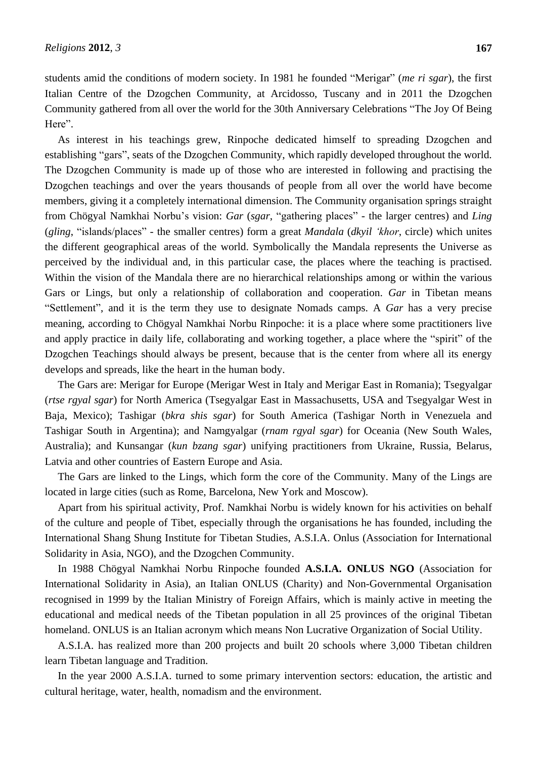students amid the conditions of modern society. In 1981 he founded "Merigar" (*me ri sgar*), the first Italian Centre of the Dzogchen Community, at Arcidosso, Tuscany and in 2011 the Dzogchen Community gathered from all over the world for the 30th Anniversary Celebrations "The Joy Of Being Here".

As interest in his teachings grew, Rinpoche dedicated himself to spreading Dzogchen and establishing "gars", seats of the Dzogchen Community, which rapidly developed throughout the world. The Dzogchen Community is made up of those who are interested in following and practising the Dzogchen teachings and over the years thousands of people from all over the world have become members, giving it a completely international dimension. The Community organisation springs straight from Chögyal Namkhai Norbu"s vision: *Gar* (*sgar*, "gathering places" - the larger centres) and *Ling* (*gling*, "islands/places" - the smaller centres) form a great *Mandala* (*dkyil 'khor*, circle) which unites the different geographical areas of the world. Symbolically the Mandala represents the Universe as perceived by the individual and, in this particular case, the places where the teaching is practised. Within the vision of the Mandala there are no hierarchical relationships among or within the various Gars or Lings, but only a relationship of collaboration and cooperation. *Gar* in Tibetan means "Settlement", and it is the term they use to designate Nomads camps. A *Gar* has a very precise meaning, according to Chögyal Namkhai Norbu Rinpoche: it is a place where some practitioners live and apply practice in daily life, collaborating and working together, a place where the "spirit" of the Dzogchen Teachings should always be present, because that is the center from where all its energy develops and spreads, like the heart in the human body.

The Gars are: Merigar for Europe (Merigar West in Italy and Merigar East in Romania); Tsegyalgar (*rtse rgyal sgar*) for North America (Tsegyalgar East in Massachusetts, USA and Tsegyalgar West in Baja, Mexico); Tashigar (*bkra shis sgar*) for South America (Tashigar North in Venezuela and Tashigar South in Argentina); and Namgyalgar (*rnam rgyal sgar*) for Oceania (New South Wales, Australia); and Kunsangar (*kun bzang sgar*) unifying practitioners from Ukraine, Russia, Belarus, Latvia and other countries of Eastern Europe and Asia.

The Gars are linked to the Lings, which form the core of the Community. Many of the Lings are located in large cities (such as Rome, Barcelona, New York and Moscow).

Apart from his spiritual activity, Prof. Namkhai Norbu is widely known for his activities on behalf of the culture and people of Tibet, especially through the organisations he has founded, including the International Shang Shung Institute for Tibetan Studies, A.S.I.A. Onlus (Association for International Solidarity in Asia, NGO), and the Dzogchen Community.

In 1988 Chögyal Namkhai Norbu Rinpoche founded **A.S.I.A. ONLUS NGO** (Association for International Solidarity in Asia), an Italian ONLUS (Charity) and Non-Governmental Organisation recognised in 1999 by the Italian Ministry of Foreign Affairs, which is mainly active in meeting the educational and medical needs of the Tibetan population in all 25 provinces of the original Tibetan homeland. ONLUS is an Italian acronym which means Non Lucrative Organization of Social Utility.

A.S.I.A. has realized more than 200 projects and built 20 schools where 3,000 Tibetan children learn Tibetan language and Tradition.

In the year 2000 A.S.I.A. turned to some primary intervention sectors: education, the artistic and cultural heritage, water, health, nomadism and the environment.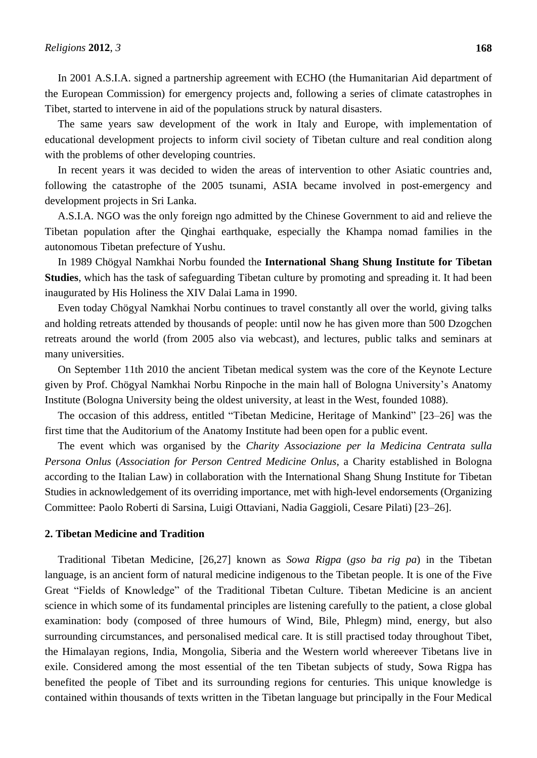In 2001 A.S.I.A. signed a partnership agreement with ECHO (the Humanitarian Aid department of the European Commission) for emergency projects and, following a series of climate catastrophes in Tibet, started to intervene in aid of the populations struck by natural disasters.

The same years saw development of the work in Italy and Europe, with implementation of educational development projects to inform civil society of Tibetan culture and real condition along with the problems of other developing countries.

In recent years it was decided to widen the areas of intervention to other Asiatic countries and, following the catastrophe of the 2005 tsunami, ASIA became involved in post-emergency and development projects in Sri Lanka.

A.S.I.A. NGO was the only foreign ngo admitted by the Chinese Government to aid and relieve the Tibetan population after the Qinghai earthquake, especially the Khampa nomad families in the autonomous Tibetan prefecture of Yushu.

In 1989 Chögyal Namkhai Norbu founded the **International Shang Shung Institute for Tibetan Studies**, which has the task of safeguarding Tibetan culture by promoting and spreading it. It had been inaugurated by His Holiness the XIV Dalai Lama in 1990.

Even today Chögyal Namkhai Norbu continues to travel constantly all over the world, giving talks and holding retreats attended by thousands of people: until now he has given more than 500 Dzogchen retreats around the world (from 2005 also via webcast), and lectures, public talks and seminars at many universities.

On September 11th 2010 the ancient Tibetan medical system was the core of the Keynote Lecture given by Prof. Chögyal Namkhai Norbu Rinpoche in the main hall of Bologna University"s Anatomy Institute (Bologna University being the oldest university, at least in the West, founded 1088).

The occasion of this address, entitled "Tibetan Medicine, Heritage of Mankind" [23–26] was the first time that the Auditorium of the Anatomy Institute had been open for a public event.

The event which was organised by the *Charity Associazione per la Medicina Centrata sulla Persona Onlus* (*Association for Person Centred Medicine Onlus*, a Charity established in Bologna according to the Italian Law) in collaboration with the International Shang Shung Institute for Tibetan Studies in acknowledgement of its overriding importance, met with high-level endorsements (Organizing Committee: Paolo Roberti di Sarsina, Luigi Ottaviani, Nadia Gaggioli, Cesare Pilati) [23–26].

#### **2. Tibetan Medicine and Tradition**

Traditional Tibetan Medicine, [26,27] known as *Sowa Rigpa* (*gso ba rig pa*) in the Tibetan language, is an ancient form of natural medicine indigenous to the Tibetan people. It is one of the Five Great "Fields of Knowledge" of the Traditional Tibetan Culture. Tibetan Medicine is an ancient science in which some of its fundamental principles are listening carefully to the patient, a close global examination: body (composed of three humours of Wind, Bile, Phlegm) mind, energy, but also surrounding circumstances, and personalised medical care. It is still practised today throughout Tibet, the Himalayan regions, India, Mongolia, Siberia and the Western world whereever Tibetans live in exile. Considered among the most essential of the ten Tibetan subjects of study, Sowa Rigpa has benefited the people of Tibet and its surrounding regions for centuries. This unique knowledge is contained within thousands of texts written in the Tibetan language but principally in the Four Medical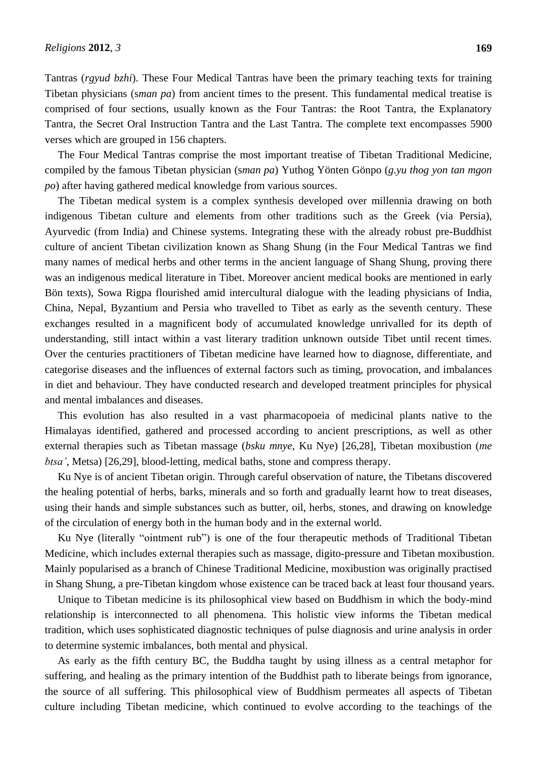Tantras (*rgyud bzhi*). These Four Medical Tantras have been the primary teaching texts for training Tibetan physicians (s*man pa*) from ancient times to the present. This fundamental medical treatise is comprised of four sections, usually known as the Four Tantras: the Root Tantra, the Explanatory Tantra, the Secret Oral Instruction Tantra and the Last Tantra. The complete text encompasses 5900 verses which are grouped in 156 chapters.

The Four Medical Tantras comprise the most important treatise of Tibetan Traditional Medicine, compiled by the famous Tibetan physician (s*man pa*) Yuthog Yönten Gönpo (*g.yu thog yon tan mgon po*) after having gathered medical knowledge from various sources.

The Tibetan medical system is a complex synthesis developed over millennia drawing on both indigenous Tibetan culture and elements from other traditions such as the Greek (via Persia), Ayurvedic (from India) and Chinese systems. Integrating these with the already robust pre-Buddhist culture of ancient Tibetan civilization known as Shang Shung (in the Four Medical Tantras we find many names of medical herbs and other terms in the ancient language of Shang Shung, proving there was an indigenous medical literature in Tibet. Moreover ancient medical books are mentioned in early Bön texts), Sowa Rigpa flourished amid intercultural dialogue with the leading physicians of India, China, Nepal, Byzantium and Persia who travelled to Tibet as early as the seventh century. These exchanges resulted in a magnificent body of accumulated knowledge unrivalled for its depth of understanding, still intact within a vast literary tradition unknown outside Tibet until recent times. Over the centuries practitioners of Tibetan medicine have learned how to diagnose, differentiate, and categorise diseases and the influences of external factors such as timing, provocation, and imbalances in diet and behaviour. They have conducted research and developed treatment principles for physical and mental imbalances and diseases.

This evolution has also resulted in a vast pharmacopoeia of medicinal plants native to the Himalayas identified, gathered and processed according to ancient prescriptions, as well as other external therapies such as Tibetan massage (*bsku mnye*, Ku Nye) [26,28], Tibetan moxibustion (*me btsa'*, Metsa) [26,29], blood-letting, medical baths, stone and compress therapy.

Ku Nye is of ancient Tibetan origin. Through careful observation of nature, the Tibetans discovered the healing potential of herbs, barks, minerals and so forth and gradually learnt how to treat diseases, using their hands and simple substances such as butter, oil, herbs, stones, and drawing on knowledge of the circulation of energy both in the human body and in the external world.

Ku Nye (literally "ointment rub") is one of the four therapeutic methods of Traditional Tibetan Medicine, which includes external therapies such as massage, digito-pressure and Tibetan moxibustion. Mainly popularised as a branch of Chinese Traditional Medicine, moxibustion was originally practised in Shang Shung, a pre-Tibetan kingdom whose existence can be traced back at least four thousand years.

Unique to Tibetan medicine is its philosophical view based on Buddhism in which the body-mind relationship is interconnected to all phenomena. This holistic view informs the Tibetan medical tradition, which uses sophisticated diagnostic techniques of pulse diagnosis and urine analysis in order to determine systemic imbalances, both mental and physical.

As early as the fifth century BC, the Buddha taught by using illness as a central metaphor for suffering, and healing as the primary intention of the Buddhist path to liberate beings from ignorance, the source of all suffering. This philosophical view of Buddhism permeates all aspects of Tibetan culture including Tibetan medicine, which continued to evolve according to the teachings of the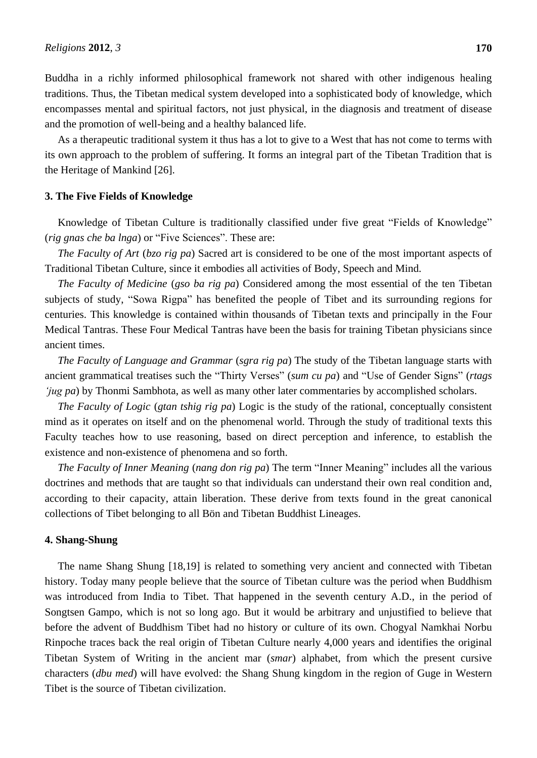Buddha in a richly informed philosophical framework not shared with other indigenous healing traditions. Thus, the Tibetan medical system developed into a sophisticated body of knowledge, which encompasses mental and spiritual factors, not just physical, in the diagnosis and treatment of disease and the promotion of well-being and a healthy balanced life.

As a therapeutic traditional system it thus has a lot to give to a West that has not come to terms with its own approach to the problem of suffering. It forms an integral part of the Tibetan Tradition that is the Heritage of Mankind [26].

#### **3. The Five Fields of Knowledge**

Knowledge of Tibetan Culture is traditionally classified under five great "Fields of Knowledge" (*rig gnas che ba lnga*) or "Five Sciences". These are:

*The Faculty of Art* (*bzo rig pa*) Sacred art is considered to be one of the most important aspects of Traditional Tibetan Culture, since it embodies all activities of Body, Speech and Mind.

*The Faculty of Medicine* (*gso ba rig pa*) Considered among the most essential of the ten Tibetan subjects of study, "Sowa Rigpa" has benefited the people of Tibet and its surrounding regions for centuries. This knowledge is contained within thousands of Tibetan texts and principally in the Four Medical Tantras. These Four Medical Tantras have been the basis for training Tibetan physicians since ancient times.

*The Faculty of Language and Grammar* (*sgra rig pa*) The study of the Tibetan language starts with ancient grammatical treatises such the "Thirty Verses" (*sum cu pa*) and "Use of Gender Signs" (*rtags 'jug pa*) by Thonmi Sambhota, as well as many other later commentaries by accomplished scholars.

*The Faculty of Logic* (*gtan tshig rig pa*) Logic is the study of the rational, conceptually consistent mind as it operates on itself and on the phenomenal world. Through the study of traditional texts this Faculty teaches how to use reasoning, based on direct perception and inference, to establish the existence and non-existence of phenomena and so forth.

*The Faculty of Inner Meaning* (*nang don rig pa*) The term "Inner Meaning" includes all the various doctrines and methods that are taught so that individuals can understand their own real condition and, according to their capacity, attain liberation. These derive from texts found in the great canonical collections of Tibet belonging to all Bön and Tibetan Buddhist Lineages.

### **4. Shang-Shung**

The name Shang Shung [18,19] is related to something very ancient and connected with Tibetan history. Today many people believe that the source of Tibetan culture was the period when Buddhism was introduced from India to Tibet. That happened in the seventh century A.D., in the period of Songtsen Gampo, which is not so long ago. But it would be arbitrary and unjustified to believe that before the advent of Buddhism Tibet had no history or culture of its own. Chogyal Namkhai Norbu Rinpoche traces back the real origin of Tibetan Culture nearly 4,000 years and identifies the original Tibetan System of Writing in the ancient mar (*smar*) alphabet, from which the present cursive characters (*dbu med*) will have evolved: the Shang Shung kingdom in the region of Guge in Western Tibet is the source of Tibetan civilization.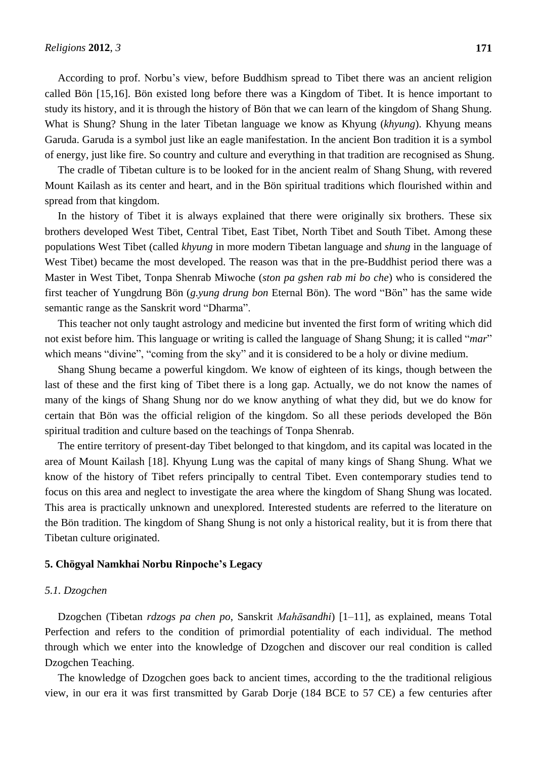According to prof. Norbu"s view, before Buddhism spread to Tibet there was an ancient religion called Bön [15,16]. Bön existed long before there was a Kingdom of Tibet. It is hence important to study its history, and it is through the history of Bön that we can learn of the kingdom of Shang Shung. What is Shung? Shung in the later Tibetan language we know as Khyung (*khyung*). Khyung means Garuda. Garuda is a symbol just like an eagle manifestation. In the ancient Bon tradition it is a symbol of energy, just like fire. So country and culture and everything in that tradition are recognised as Shung.

The cradle of Tibetan culture is to be looked for in the ancient realm of Shang Shung, with revered Mount Kailash as its center and heart, and in the Bön spiritual traditions which flourished within and spread from that kingdom.

In the history of Tibet it is always explained that there were originally six brothers. These six brothers developed West Tibet, Central Tibet, East Tibet, North Tibet and South Tibet. Among these populations West Tibet (called *khyung* in more modern Tibetan language and *shung* in the language of West Tibet) became the most developed. The reason was that in the pre-Buddhist period there was a Master in West Tibet, Tonpa Shenrab Miwoche (*ston pa gshen rab mi bo che*) who is considered the first teacher of Yungdrung Bön (*g.yung drung bon* Eternal Bön). The word "Bön" has the same wide semantic range as the Sanskrit word "Dharma".

This teacher not only taught astrology and medicine but invented the first form of writing which did not exist before him. This language or writing is called the language of Shang Shung; it is called "*mar*" which means "divine", "coming from the sky" and it is considered to be a holy or divine medium.

Shang Shung became a powerful kingdom. We know of eighteen of its kings, though between the last of these and the first king of Tibet there is a long gap. Actually, we do not know the names of many of the kings of Shang Shung nor do we know anything of what they did, but we do know for certain that Bön was the official religion of the kingdom. So all these periods developed the Bön spiritual tradition and culture based on the teachings of Tonpa Shenrab.

The entire territory of present-day Tibet belonged to that kingdom, and its capital was located in the area of Mount Kailash [18]. Khyung Lung was the capital of many kings of Shang Shung. What we know of the history of Tibet refers principally to central Tibet. Even contemporary studies tend to focus on this area and neglect to investigate the area where the kingdom of Shang Shung was located. This area is practically unknown and unexplored. Interested students are referred to the literature on the Bön tradition. The kingdom of Shang Shung is not only a historical reality, but it is from there that Tibetan culture originated.

### **5. Chögyal Namkhai Norbu Rinpoche's Legacy**

### *5.1. Dzogchen*

Dzogchen (Tibetan *rdzogs pa chen po*, Sanskrit *Mahāsandhi*) [1–11], as explained, means Total Perfection and refers to the condition of primordial potentiality of each individual. The method through which we enter into the knowledge of Dzogchen and discover our real condition is called Dzogchen Teaching.

The knowledge of Dzogchen goes back to ancient times, according to the the traditional religious view, in our era it was first transmitted by Garab Dorje (184 BCE to 57 CE) a few centuries after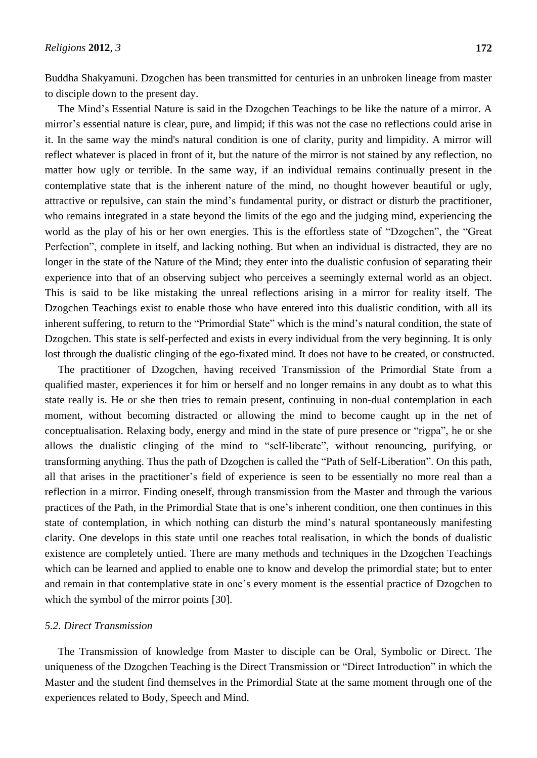Buddha Shakyamuni. Dzogchen has been transmitted for centuries in an unbroken lineage from master to disciple down to the present day.

The Mind"s Essential Nature is said in the Dzogchen Teachings to be like the nature of a mirror. A mirror"s essential nature is clear, pure, and limpid; if this was not the case no reflections could arise in it. In the same way the mind's natural condition is one of clarity, purity and limpidity. A mirror will reflect whatever is placed in front of it, but the nature of the mirror is not stained by any reflection, no matter how ugly or terrible. In the same way, if an individual remains continually present in the contemplative state that is the inherent nature of the mind, no thought however beautiful or ugly, attractive or repulsive, can stain the mind"s fundamental purity, or distract or disturb the practitioner, who remains integrated in a state beyond the limits of the ego and the judging mind, experiencing the world as the play of his or her own energies. This is the effortless state of "Dzogchen", the "Great Perfection", complete in itself, and lacking nothing. But when an individual is distracted, they are no longer in the state of the Nature of the Mind; they enter into the dualistic confusion of separating their experience into that of an observing subject who perceives a seemingly external world as an object. This is said to be like mistaking the unreal reflections arising in a mirror for reality itself. The Dzogchen Teachings exist to enable those who have entered into this dualistic condition, with all its inherent suffering, to return to the "Primordial State" which is the mind"s natural condition, the state of Dzogchen. This state is self-perfected and exists in every individual from the very beginning. It is only lost through the dualistic clinging of the ego-fixated mind. It does not have to be created, or constructed.

The practitioner of Dzogchen, having received Transmission of the Primordial State from a qualified master, experiences it for him or herself and no longer remains in any doubt as to what this state really is. He or she then tries to remain present, continuing in non-dual contemplation in each moment, without becoming distracted or allowing the mind to become caught up in the net of conceptualisation. Relaxing body, energy and mind in the state of pure presence or "rigpa", he or she allows the dualistic clinging of the mind to "self-liberate", without renouncing, purifying, or transforming anything. Thus the path of Dzogchen is called the "Path of Self-Liberation". On this path, all that arises in the practitioner"s field of experience is seen to be essentially no more real than a reflection in a mirror. Finding oneself, through transmission from the Master and through the various practices of the Path, in the Primordial State that is one's inherent condition, one then continues in this state of contemplation, in which nothing can disturb the mind"s natural spontaneously manifesting clarity. One develops in this state until one reaches total realisation, in which the bonds of dualistic existence are completely untied. There are many methods and techniques in the Dzogchen Teachings which can be learned and applied to enable one to know and develop the primordial state; but to enter and remain in that contemplative state in one's every moment is the essential practice of Dzogchen to which the symbol of the mirror points [30].

#### *5.2. Direct Transmission*

The Transmission of knowledge from Master to disciple can be Oral, Symbolic or Direct. The uniqueness of the Dzogchen Teaching is the Direct Transmission or "Direct Introduction" in which the Master and the student find themselves in the Primordial State at the same moment through one of the experiences related to Body, Speech and Mind.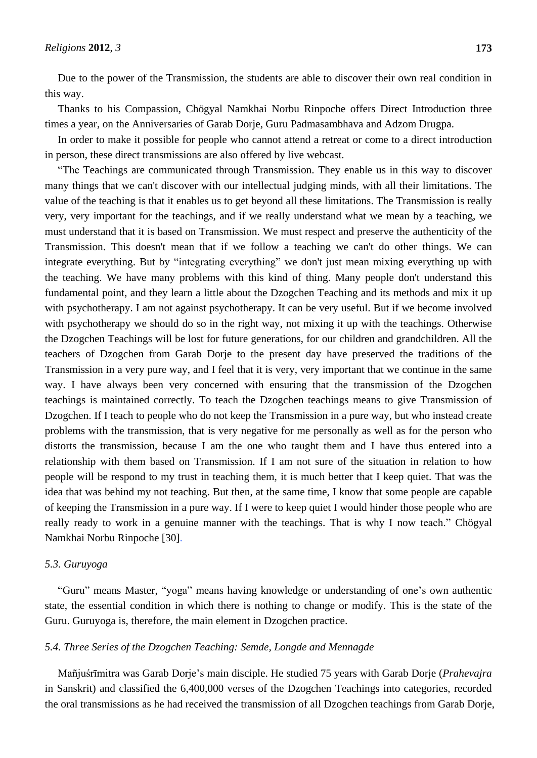Due to the power of the Transmission, the students are able to discover their own real condition in this way.

Thanks to his Compassion, Chögyal Namkhai Norbu Rinpoche offers Direct Introduction three times a year, on the Anniversaries of Garab Dorje, Guru Padmasambhava and Adzom Drugpa.

In order to make it possible for people who cannot attend a retreat or come to a direct introduction in person, these direct transmissions are also offered by live webcast.

"The Teachings are communicated through Transmission. They enable us in this way to discover many things that we can't discover with our intellectual judging minds, with all their limitations. The value of the teaching is that it enables us to get beyond all these limitations. The Transmission is really very, very important for the teachings, and if we really understand what we mean by a teaching, we must understand that it is based on Transmission. We must respect and preserve the authenticity of the Transmission. This doesn't mean that if we follow a teaching we can't do other things. We can integrate everything. But by "integrating everything" we don't just mean mixing everything up with the teaching. We have many problems with this kind of thing. Many people don't understand this fundamental point, and they learn a little about the Dzogchen Teaching and its methods and mix it up with psychotherapy. I am not against psychotherapy. It can be very useful. But if we become involved with psychotherapy we should do so in the right way, not mixing it up with the teachings. Otherwise the Dzogchen Teachings will be lost for future generations, for our children and grandchildren. All the teachers of Dzogchen from Garab Dorje to the present day have preserved the traditions of the Transmission in a very pure way, and I feel that it is very, very important that we continue in the same way. I have always been very concerned with ensuring that the transmission of the Dzogchen teachings is maintained correctly. To teach the Dzogchen teachings means to give Transmission of Dzogchen. If I teach to people who do not keep the Transmission in a pure way, but who instead create problems with the transmission, that is very negative for me personally as well as for the person who distorts the transmission, because I am the one who taught them and I have thus entered into a relationship with them based on Transmission. If I am not sure of the situation in relation to how people will be respond to my trust in teaching them, it is much better that I keep quiet. That was the idea that was behind my not teaching. But then, at the same time, I know that some people are capable of keeping the Transmission in a pure way. If I were to keep quiet I would hinder those people who are really ready to work in a genuine manner with the teachings. That is why I now teach." Chögyal Namkhai Norbu Rinpoche [30].

### *5.3. Guruyoga*

"Guru" means Master, "yoga" means having knowledge or understanding of one"s own authentic state, the essential condition in which there is nothing to change or modify. This is the state of the Guru. Guruyoga is, therefore, the main element in Dzogchen practice.

#### *5.4. Three Series of the Dzogchen Teaching: Semde, Longde and Mennagde*

Mañjuśrīmitra was Garab Dorje"s main disciple. He studied 75 years with Garab Dorje (*Prahevajra* in Sanskrit) and classified the 6,400,000 verses of the Dzogchen Teachings into categories, recorded the oral transmissions as he had received the transmission of all Dzogchen teachings from Garab Dorje,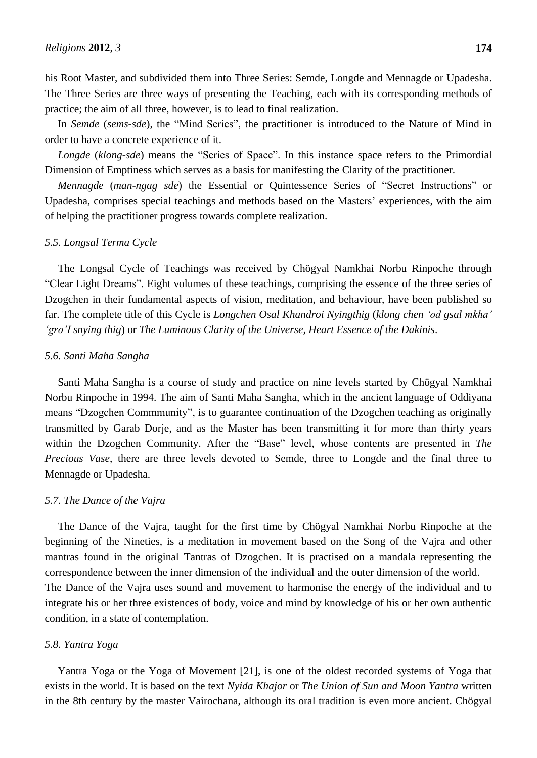In *Semde* (*sems-sde*), the "Mind Series", the practitioner is introduced to the Nature of Mind in order to have a concrete experience of it.

*Longde* (*klong-sde*) means the "Series of Space". In this instance space refers to the Primordial Dimension of Emptiness which serves as a basis for manifesting the Clarity of the practitioner.

*Mennagde* (*man-ngag sde*) the Essential or Quintessence Series of "Secret Instructions" or Upadesha, comprises special teachings and methods based on the Masters" experiences, with the aim of helping the practitioner progress towards complete realization.

#### *5.5. Longsal Terma Cycle*

The Longsal Cycle of Teachings was received by Chögyal Namkhai Norbu Rinpoche through "Clear Light Dreams". Eight volumes of these teachings, comprising the essence of the three series of Dzogchen in their fundamental aspects of vision, meditation, and behaviour, have been published so far. The complete title of this Cycle is *Longchen Osal Khandroi Nyingthig* (*klong chen 'od gsal mkha' 'gro'I snying thig*) or *The Luminous Clarity of the Universe, Heart Essence of the Dakinis*.

#### *5.6. Santi Maha Sangha*

Santi Maha Sangha is a course of study and practice on nine levels started by Chögyal Namkhai Norbu Rinpoche in 1994. The aim of Santi Maha Sangha, which in the ancient language of Oddiyana means "Dzogchen Commmunity", is to guarantee continuation of the Dzogchen teaching as originally transmitted by Garab Dorje, and as the Master has been transmitting it for more than thirty years within the Dzogchen Community. After the "Base" level, whose contents are presented in *The Precious Vase*, there are three levels devoted to Semde, three to Longde and the final three to Mennagde or Upadesha.

### *5.7. The Dance of the Vajra*

The Dance of the Vajra, taught for the first time by Chögyal Namkhai Norbu Rinpoche at the beginning of the Nineties, is a meditation in movement based on the Song of the Vajra and other mantras found in the original Tantras of Dzogchen. It is practised on a mandala representing the correspondence between the inner dimension of the individual and the outer dimension of the world. The Dance of the Vajra uses sound and movement to harmonise the energy of the individual and to integrate his or her three existences of body, voice and mind by knowledge of his or her own authentic condition, in a state of contemplation.

#### *5.8. Yantra Yoga*

Yantra Yoga or the Yoga of Movement [21], is one of the oldest recorded systems of Yoga that exists in the world. It is based on the text *Nyida Khajor* or *The Union of Sun and Moon Yantra* written in the 8th century by the master Vairochana, although its oral tradition is even more ancient. Chögyal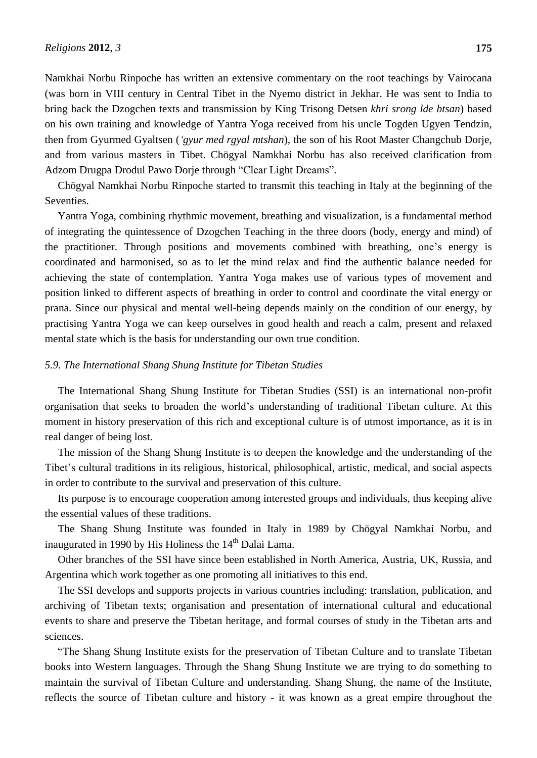Namkhai Norbu Rinpoche has written an extensive commentary on the root teachings by Vairocana (was born in VIII century in Central Tibet in the Nyemo district in Jekhar. He was sent to India to bring back the Dzogchen texts and transmission by King Trisong Detsen *khri srong lde btsan*) based on his own training and knowledge of Yantra Yoga received from his uncle Togden Ugyen Tendzin, then from Gyurmed Gyaltsen (*'gyur med rgyal mtshan*), the son of his Root Master Changchub Dorje, and from various masters in Tibet. Chögyal Namkhai Norbu has also received clarification from Adzom Drugpa Drodul Pawo Dorje through "Clear Light Dreams".

Chögyal Namkhai Norbu Rinpoche started to transmit this teaching in Italy at the beginning of the Seventies.

Yantra Yoga, combining rhythmic movement, breathing and visualization, is a fundamental method of integrating the quintessence of Dzogchen Teaching in the three doors (body, energy and mind) of the practitioner. Through positions and movements combined with breathing, one"s energy is coordinated and harmonised, so as to let the mind relax and find the authentic balance needed for achieving the state of contemplation. Yantra Yoga makes use of various types of movement and position linked to different aspects of breathing in order to control and coordinate the vital energy or prana. Since our physical and mental well-being depends mainly on the condition of our energy, by practising Yantra Yoga we can keep ourselves in good health and reach a calm, present and relaxed mental state which is the basis for understanding our own true condition.

### *5.9. The International Shang Shung Institute for Tibetan Studies*

The International Shang Shung Institute for Tibetan Studies (SSI) is an international non-profit organisation that seeks to broaden the world"s understanding of traditional Tibetan culture. At this moment in history preservation of this rich and exceptional culture is of utmost importance, as it is in real danger of being lost.

The mission of the Shang Shung Institute is to deepen the knowledge and the understanding of the Tibet"s cultural traditions in its religious, historical, philosophical, artistic, medical, and social aspects in order to contribute to the survival and preservation of this culture.

Its purpose is to encourage cooperation among interested groups and individuals, thus keeping alive the essential values of these traditions.

The Shang Shung Institute was founded in Italy in 1989 by Chögyal Namkhai Norbu, and inaugurated in 1990 by His Holiness the  $14<sup>th</sup>$  Dalai Lama.

Other branches of the SSI have since been established in North America, Austria, UK, Russia, and Argentina which work together as one promoting all initiatives to this end.

The SSI develops and supports projects in various countries including: translation, publication, and archiving of Tibetan texts; organisation and presentation of international cultural and educational events to share and preserve the Tibetan heritage, and formal courses of study in the Tibetan arts and sciences.

"The Shang Shung Institute exists for the preservation of Tibetan Culture and to translate Tibetan books into Western languages. Through the Shang Shung Institute we are trying to do something to maintain the survival of Tibetan Culture and understanding. Shang Shung, the name of the Institute, reflects the source of Tibetan culture and history - it was known as a great empire throughout the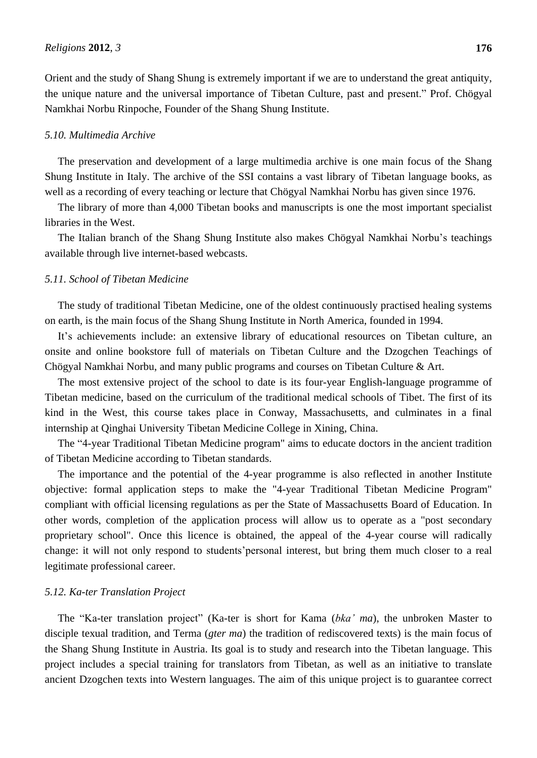Orient and the study of Shang Shung is extremely important if we are to understand the great antiquity, the unique nature and the universal importance of Tibetan Culture, past and present." Prof. Chögyal Namkhai Norbu Rinpoche, Founder of the Shang Shung Institute.

#### *5.10. Multimedia Archive*

The preservation and development of a large multimedia archive is one main focus of the Shang Shung Institute in Italy. The archive of the SSI contains a vast library of Tibetan language books, as well as a recording of every teaching or lecture that Chögyal Namkhai Norbu has given since 1976.

The library of more than 4,000 Tibetan books and manuscripts is one the most important specialist libraries in the West.

The Italian branch of the Shang Shung Institute also makes Chögyal Namkhai Norbu"s teachings available through live internet-based webcasts.

#### *5.11. School of Tibetan Medicine*

The study of traditional Tibetan Medicine, one of the oldest continuously practised healing systems on earth, is the main focus of the Shang Shung Institute in North America, founded in 1994.

It's achievements include: an extensive library of educational resources on Tibetan culture, an onsite and online bookstore full of materials on Tibetan Culture and the Dzogchen Teachings of Chögyal Namkhai Norbu, and many public programs and courses on Tibetan Culture & Art.

The most extensive project of the school to date is its four-year English-language programme of Tibetan medicine, based on the curriculum of the traditional medical schools of Tibet. The first of its kind in the West, this course takes place in Conway, Massachusetts, and culminates in a final internship at Qinghai University Tibetan Medicine College in Xining, China.

The "4-year Traditional Tibetan Medicine program" aims to educate doctors in the ancient tradition of Tibetan Medicine according to Tibetan standards.

The importance and the potential of the 4-year programme is also reflected in another Institute objective: formal application steps to make the "4-year Traditional Tibetan Medicine Program" compliant with official licensing regulations as per the State of Massachusetts Board of Education. In other words, completion of the application process will allow us to operate as a "post secondary proprietary school". Once this licence is obtained, the appeal of the 4-year course will radically change: it will not only respond to students' personal interest, but bring them much closer to a real legitimate professional career.

#### *5.12. Ka-ter Translation Project*

The "Ka-ter translation project" (Ka-ter is short for Kama (*bka' ma*), the unbroken Master to disciple texual tradition, and Terma (*gter ma*) the tradition of rediscovered texts) is the main focus of the Shang Shung Institute in Austria. Its goal is to study and research into the Tibetan language. This project includes a special training for translators from Tibetan, as well as an initiative to translate ancient Dzogchen texts into Western languages. The aim of this unique project is to guarantee correct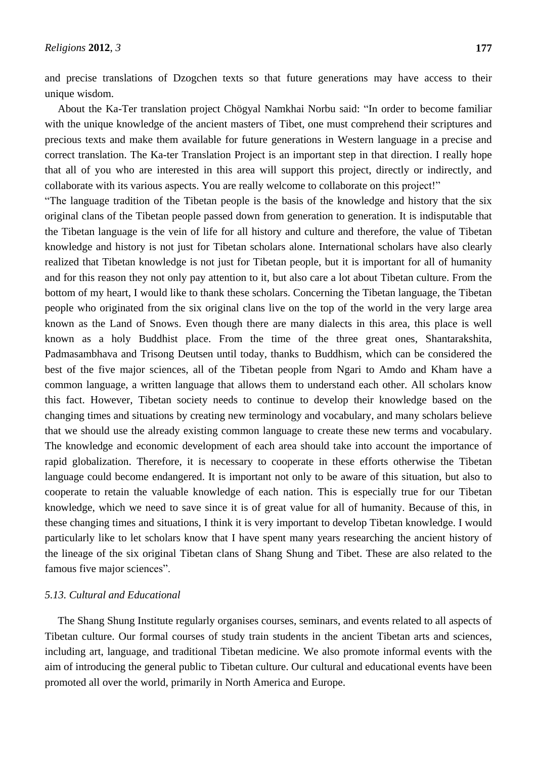and precise translations of Dzogchen texts so that future generations may have access to their unique wisdom.

About the Ka-Ter translation project Chögyal Namkhai Norbu said: "In order to become familiar with the unique knowledge of the ancient masters of Tibet, one must comprehend their scriptures and precious texts and make them available for future generations in Western language in a precise and correct translation. The Ka-ter Translation Project is an important step in that direction. I really hope that all of you who are interested in this area will support this project, directly or indirectly, and collaborate with its various aspects. You are really welcome to collaborate on this project!"

"The language tradition of the Tibetan people is the basis of the knowledge and history that the six original clans of the Tibetan people passed down from generation to generation. It is indisputable that the Tibetan language is the vein of life for all history and culture and therefore, the value of Tibetan knowledge and history is not just for Tibetan scholars alone. International scholars have also clearly realized that Tibetan knowledge is not just for Tibetan people, but it is important for all of humanity and for this reason they not only pay attention to it, but also care a lot about Tibetan culture. From the bottom of my heart, I would like to thank these scholars. Concerning the Tibetan language, the Tibetan people who originated from the six original clans live on the top of the world in the very large area known as the Land of Snows. Even though there are many dialects in this area, this place is well known as a holy Buddhist place. From the time of the three great ones, Shantarakshita, Padmasambhava and Trisong Deutsen until today, thanks to Buddhism, which can be considered the best of the five major sciences, all of the Tibetan people from Ngari to Amdo and Kham have a common language, a written language that allows them to understand each other. All scholars know this fact. However, Tibetan society needs to continue to develop their knowledge based on the changing times and situations by creating new terminology and vocabulary, and many scholars believe that we should use the already existing common language to create these new terms and vocabulary. The knowledge and economic development of each area should take into account the importance of rapid globalization. Therefore, it is necessary to cooperate in these efforts otherwise the Tibetan language could become endangered. It is important not only to be aware of this situation, but also to cooperate to retain the valuable knowledge of each nation. This is especially true for our Tibetan knowledge, which we need to save since it is of great value for all of humanity. Because of this, in these changing times and situations, I think it is very important to develop Tibetan knowledge. I would particularly like to let scholars know that I have spent many years researching the ancient history of the lineage of the six original Tibetan clans of Shang Shung and Tibet. These are also related to the famous five major sciences".

#### *5.13. Cultural and Educational*

The Shang Shung Institute regularly organises courses, seminars, and events related to all aspects of Tibetan culture. Our formal courses of study train students in the ancient Tibetan arts and sciences, including art, language, and traditional Tibetan medicine. We also promote informal events with the aim of introducing the general public to Tibetan culture. Our cultural and educational events have been promoted all over the world, primarily in North America and Europe.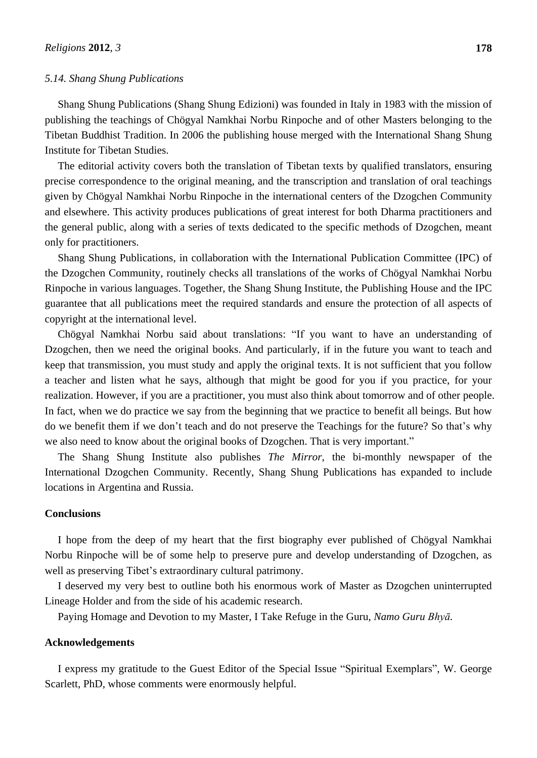#### *5.14. Shang Shung Publications*

Shang Shung Publications (Shang Shung Edizioni) was founded in Italy in 1983 with the mission of publishing the teachings of Chögyal Namkhai Norbu Rinpoche and of other Masters belonging to the Tibetan Buddhist Tradition. In 2006 the publishing house merged with the International Shang Shung Institute for Tibetan Studies.

The editorial activity covers both the translation of Tibetan texts by qualified translators, ensuring precise correspondence to the original meaning, and the transcription and translation of oral teachings given by Chögyal Namkhai Norbu Rinpoche in the international centers of the Dzogchen Community and elsewhere. This activity produces publications of great interest for both Dharma practitioners and the general public, along with a series of texts dedicated to the specific methods of Dzogchen, meant only for practitioners.

Shang Shung Publications, in collaboration with the International Publication Committee (IPC) of the Dzogchen Community, routinely checks all translations of the works of Chögyal Namkhai Norbu Rinpoche in various languages. Together, the Shang Shung Institute, the Publishing House and the IPC guarantee that all publications meet the required standards and ensure the protection of all aspects of copyright at the international level.

Chögyal Namkhai Norbu said about translations: "If you want to have an understanding of Dzogchen, then we need the original books. And particularly, if in the future you want to teach and keep that transmission, you must study and apply the original texts. It is not sufficient that you follow a teacher and listen what he says, although that might be good for you if you practice, for your realization. However, if you are a practitioner, you must also think about tomorrow and of other people. In fact, when we do practice we say from the beginning that we practice to benefit all beings. But how do we benefit them if we don't teach and do not preserve the Teachings for the future? So that's why we also need to know about the original books of Dzogchen. That is very important."

The Shang Shung Institute also publishes *The Mirror*, the bi-monthly newspaper of the International Dzogchen Community. Recently, Shang Shung Publications has expanded to include locations in Argentina and Russia.

### **Conclusions**

I hope from the deep of my heart that the first biography ever published of Chögyal Namkhai Norbu Rinpoche will be of some help to preserve pure and develop understanding of Dzogchen, as well as preserving Tibet's extraordinary cultural patrimony.

I deserved my very best to outline both his enormous work of Master as Dzogchen uninterrupted Lineage Holder and from the side of his academic research.

Paying Homage and Devotion to my Master, I Take Refuge in the Guru, *Namo Guru Bhyā.*

#### **Acknowledgements**

I express my gratitude to the Guest Editor of the Special Issue "Spiritual Exemplars", W. George Scarlett, PhD, whose comments were enormously helpful.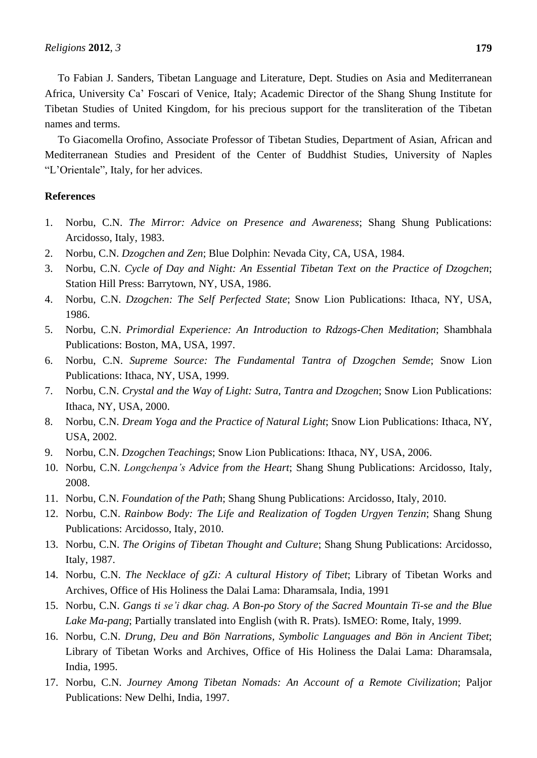To Fabian J. Sanders, Tibetan Language and Literature, Dept. Studies on Asia and Mediterranean Africa, University Ca" Foscari of Venice, Italy; Academic Director of the Shang Shung Institute for Tibetan Studies of United Kingdom, for his precious support for the transliteration of the Tibetan names and terms.

To Giacomella Orofino, Associate Professor of Tibetan Studies, Department of Asian, African and Mediterranean Studies and President of the Center of Buddhist Studies, University of Naples "L"Orientale", Italy, for her advices.

#### **References**

- 1. Norbu, C.N. *The Mirror: Advice on Presence and Awareness*; Shang Shung Publications: Arcidosso, Italy, 1983.
- 2. Norbu, C.N. *Dzogchen and Zen*; Blue Dolphin: Nevada City, CA, USA, 1984.
- 3. Norbu, C.N. *Cycle of Day and Night: An Essential Tibetan Text on the Practice of Dzogchen*; Station Hill Press: Barrytown, NY, USA, 1986.
- 4. Norbu, C.N. *Dzogchen: The Self Perfected State*; Snow Lion Publications: Ithaca, NY, USA, 1986.
- 5. Norbu, C.N. *Primordial Experience: An Introduction to Rdzogs-Chen Meditation*; Shambhala Publications: Boston, MA, USA, 1997.
- 6. Norbu, C.N. *Supreme Source: The Fundamental Tantra of Dzogchen Semde*; Snow Lion Publications: Ithaca, NY, USA, 1999.
- 7. Norbu, C.N. *Crystal and the Way of Light: Sutra, Tantra and Dzogchen*; Snow Lion Publications: Ithaca, NY, USA, 2000.
- 8. Norbu, C.N. *Dream Yoga and the Practice of Natural Light*; Snow Lion Publications: Ithaca, NY, USA, 2002.
- 9. Norbu, C.N. *Dzogchen Teachings*; Snow Lion Publications: Ithaca, NY, USA, 2006.
- 10. Norbu, C.N. *Longchenpa's Advice from the Heart*; Shang Shung Publications: Arcidosso, Italy, 2008.
- 11. Norbu, C.N. *Foundation of the Path*; Shang Shung Publications: Arcidosso, Italy, 2010.
- 12. Norbu, C.N. *Rainbow Body: The Life and Realization of Togden Urgyen Tenzin*; Shang Shung Publications: Arcidosso, Italy, 2010.
- 13. Norbu, C.N. *The Origins of Tibetan Thought and Culture*; Shang Shung Publications: Arcidosso, Italy, 1987.
- 14. Norbu, C.N. *The Necklace of gZi: A cultural History of Tibet*; Library of Tibetan Works and Archives, Office of His Holiness the Dalai Lama: Dharamsala, India, 1991
- 15. Norbu, C.N. *Gangs ti se'i dkar chag. A Bon-po Story of the Sacred Mountain Ti-se and the Blue Lake Ma-pang*; Partially translated into English (with R. Prats). IsMEO: Rome, Italy, 1999.
- 16. Norbu, C.N. *Drung, Deu and Bön Narrations, Symbolic Languages and Bön in Ancient Tibet*; Library of Tibetan Works and Archives, Office of His Holiness the Dalai Lama: Dharamsala, India, 1995.
- 17. Norbu, C.N. *Journey Among Tibetan Nomads: An Account of a Remote Civilization*; Paljor Publications: New Delhi, India, 1997.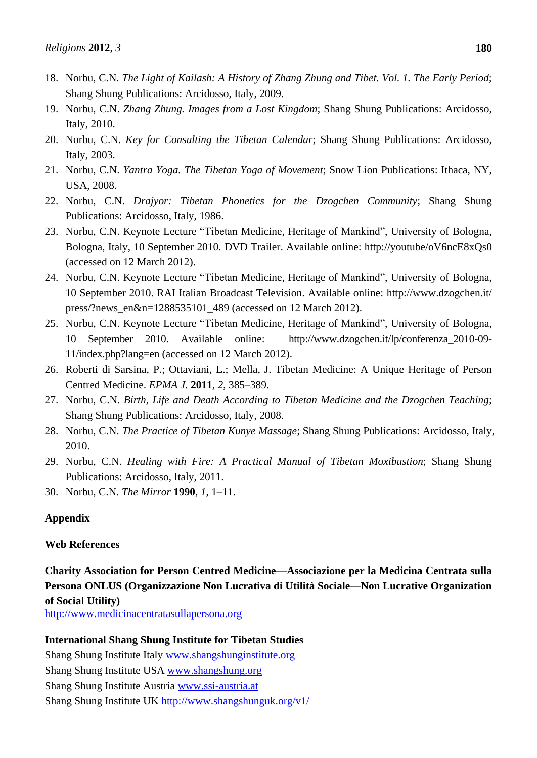- 18. Norbu, C.N. *The Light of Kailash: A History of Zhang Zhung and Tibet. Vol. 1. The Early Period*; Shang Shung Publications: Arcidosso, Italy, 2009.
- 19. Norbu, C.N. *Zhang Zhung. Images from a Lost Kingdom*; Shang Shung Publications: Arcidosso, Italy, 2010.
- 20. Norbu, C.N. *Key for Consulting the Tibetan Calendar*; Shang Shung Publications: Arcidosso, Italy, 2003.
- 21. Norbu, C.N. *Yantra Yoga. The Tibetan Yoga of Movement*; Snow Lion Publications: Ithaca, NY, USA, 2008.
- 22. Norbu, C.N. *Drajyor: Tibetan Phonetics for the Dzogchen Community*; Shang Shung Publications: Arcidosso, Italy, 1986.
- 23. Norbu, C.N. Keynote Lecture "Tibetan Medicine, Heritage of Mankind", University of Bologna, Bologna, Italy, 10 September 2010. DVD Trailer. Available online: http://youtube/oV6ncE8xQs0 (accessed on 12 March 2012).
- 24. Norbu, C.N. Keynote Lecture "Tibetan Medicine, Heritage of Mankind", University of Bologna, 10 September 2010. RAI Italian Broadcast Television. Available online: http://www.dzogchen.it/ press/?news\_en&n=1288535101\_489 (accessed on 12 March 2012).
- 25. Norbu, C.N. Keynote Lecture "Tibetan Medicine, Heritage of Mankind", University of Bologna, 10 September 2010. Available online: http://www.dzogchen.it/lp/conferenza\_2010-09- 11/index.php?lang=en (accessed on 12 March 2012).
- 26. Roberti di Sarsina, P.; Ottaviani, L.; Mella, J. Tibetan Medicine: A Unique Heritage of Person Centred Medicine. *EPMA J.* **2011**, *2*, 385–389.
- 27. Norbu, C.N. *Birth, Life and Death According to Tibetan Medicine and the Dzogchen Teaching*; Shang Shung Publications: Arcidosso, Italy, 2008.
- 28. Norbu, C.N. *The Practice of Tibetan Kunye Massage*; Shang Shung Publications: Arcidosso, Italy, 2010.
- 29. Norbu, C.N. *Healing with Fire: A Practical Manual of Tibetan Moxibustion*; Shang Shung Publications: Arcidosso, Italy, 2011.
- 30. Norbu, C.N. *The Mirror* **1990**, *1*, 1–11.

### **Appendix**

### **Web References**

**Charity Association for Person Centred Medicine—Associazione per la Medicina Centrata sulla Persona ONLUS (Organizzazione Non Lucrativa di UtilitàSociale—Non Lucrative Organization of Social Utility)**

[http://www.medicinacentratasullapersona.org](http://www.medicinacentratasullapersona.org/)

### **International Shang Shung Institute for Tibetan Studies**

Shang Shung Institute Italy [www.shangshunginstitute.org](http://www.shangshunginstitute.org/) Shang Shung Institute USA [www.shangshung.org](http://www.shangshung.org/) Shang Shung Institute Austria [www.ssi-austria.at](http://www.ssi-austria.at/) Shang Shung Institute UK <http://www.shangshunguk.org/v1/>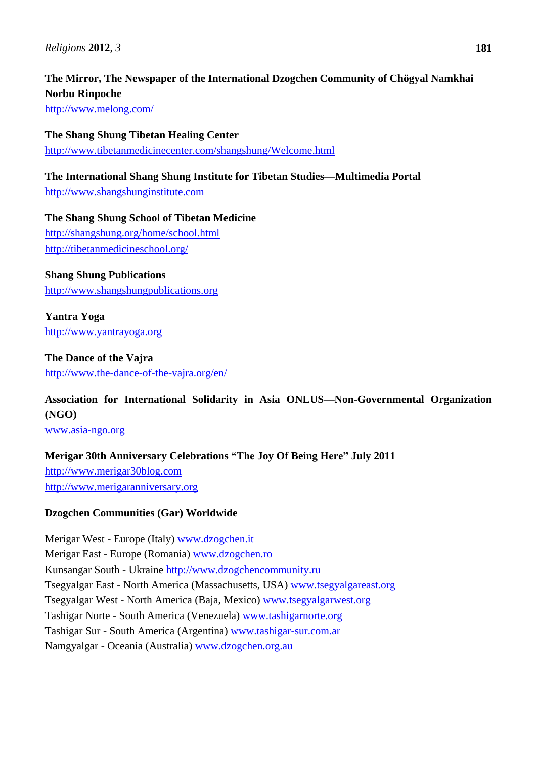# **The Mirror, The Newspaper of the International Dzogchen Community of Chögyal Namkhai Norbu Rinpoche**

<http://www.melong.com/>

**The Shang Shung Tibetan Healing Center** <http://www.tibetanmedicinecenter.com/shangshung/Welcome.html>

**The International Shang Shung Institute for Tibetan Studies—Multimedia Portal** [http://www.shangshunginstitute.com](http://www.shangshunginstitute.com/)

**The Shang Shung School of Tibetan Medicine** <http://shangshung.org/home/school.html> <http://tibetanmedicineschool.org/>

# **Shang Shung Publications**

[http://www.shangshungpublications.org](http://www.shangshungpublications.org/)

**Yantra Yoga** [http://www.yantrayoga.org](http://www.yantrayoga.org/)

**The Dance of the Vajra** <http://www.the-dance-of-the-vajra.org/en/>

# **Association for International Solidarity in Asia ONLUS—Non-Governmental Organization (NGO)**

[www.asia-ngo.org](http://www.asia-ngo.org/)

# **Merigar 30th Anniversary Celebrations "The Joy Of Being Here" July 2011**

[http://www.merigar30blog.com](http://www.merigar30blog.com/) [http://www.merigaranniversary.org](http://www.merigaranniversary.org/)

# **Dzogchen Communities (Gar) Worldwide**

Merigar West - Europe (Italy) [www.dzogchen.it](http://www.dzogchen.it/) Merigar East - Europe (Romania) [www.dzogchen.ro](http://www.dzogchen.ro/) Kunsangar South - Ukraine [http://www.dzogchencommunity.ru](http://www.dzogchencommunity.ru/) Tsegyalgar East - North America (Massachusetts, USA) [www.tsegyalgareast.org](http://www.tsegyalgareast.org/) Tsegyalgar West - North America (Baja, Mexico) [www.tsegyalgarwest.org](http://tsegyalgarwest.org/) Tashigar Norte - South America (Venezuela) [www.tashigarnorte.org](http://www.tashigarnorte.org/) Tashigar Sur - South America (Argentina) [www.tashigar-sur.com.ar](http://www.tashigar-sur.com.ar/) Namgyalgar - Oceania (Australia) [www.dzogchen.org.au](http://www.dzogchen.org.au/)